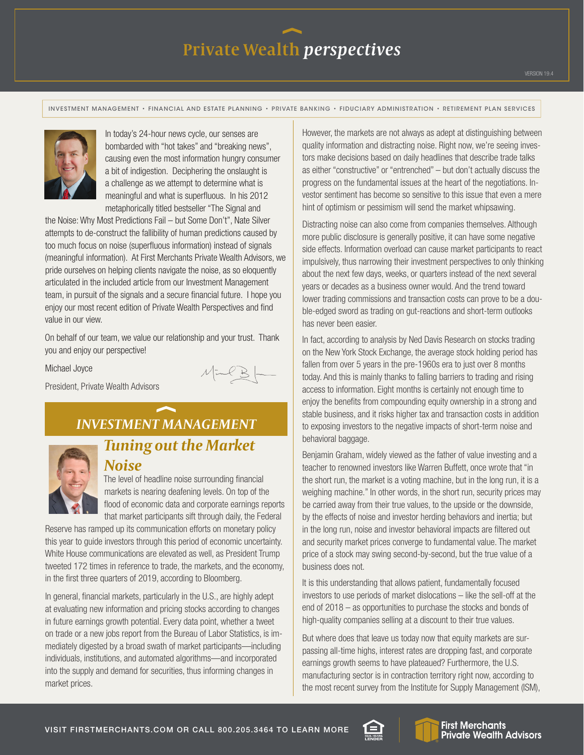INVESTMENT MANAGEMENT • FINANCIAL AND ESTATE PLANNING • PRIVATE BANKING • FIDUCIARY ADMINISTRATION • RETIREMENT PLAN SERVICES



In today's 24-hour news cycle, our senses are bombarded with "hot takes" and "breaking news", causing even the most information hungry consumer a bit of indigestion. Deciphering the onslaught is a challenge as we attempt to determine what is meaningful and what is superfluous. In his 2012 metaphorically titled bestseller "The Signal and

the Noise: Why Most Predictions Fail – but Some Don't", Nate Silver attempts to de-construct the fallibility of human predictions caused by too much focus on noise (superfluous information) instead of signals (meaningful information). At First Merchants Private Wealth Advisors, we pride ourselves on helping clients navigate the noise, as so eloquently articulated in the included article from our Investment Management team, in pursuit of the signals and a secure financial future. I hope you enjoy our most recent edition of Private Wealth Perspectives and find value in our view.

On behalf of our team, we value our relationship and your trust. Thank you and enjoy our perspective!

Michael Joyce

 $M = 8$ 

President, Private Wealth Advisors

### *INVESTMENT MANAGEMENT*

### *Tuning out the Market Noise*

The level of headline noise surrounding financial markets is nearing deafening levels. On top of the flood of economic data and corporate earnings reports that market participants sift through daily, the Federal

Reserve has ramped up its communication efforts on monetary policy this year to guide investors through this period of economic uncertainty. White House communications are elevated as well, as President Trump tweeted 172 times in reference to trade, the markets, and the economy, in the first three quarters of 2019, according to Bloomberg.

In general, financial markets, particularly in the U.S., are highly adept at evaluating new information and pricing stocks according to changes in future earnings growth potential. Every data point, whether a tweet on trade or a new jobs report from the Bureau of Labor Statistics, is immediately digested by a broad swath of market participants—including individuals, institutions, and automated algorithms—and incorporated into the supply and demand for securities, thus informing changes in market prices.

However, the markets are not always as adept at distinguishing between quality information and distracting noise. Right now, we're seeing investors make decisions based on daily headlines that describe trade talks as either "constructive" or "entrenched" – but don't actually discuss the progress on the fundamental issues at the heart of the negotiations. Investor sentiment has become so sensitive to this issue that even a mere hint of optimism or pessimism will send the market whipsawing.

Distracting noise can also come from companies themselves. Although more public disclosure is generally positive, it can have some negative side effects. Information overload can cause market participants to react impulsively, thus narrowing their investment perspectives to only thinking about the next few days, weeks, or quarters instead of the next several years or decades as a business owner would. And the trend toward lower trading commissions and transaction costs can prove to be a double-edged sword as trading on gut-reactions and short-term outlooks has never been easier.

In fact, according to analysis by Ned Davis Research on stocks trading on the New York Stock Exchange, the average stock holding period has fallen from over 5 years in the pre-1960s era to just over 8 months today. And this is mainly thanks to falling barriers to trading and rising access to information. Eight months is certainly not enough time to enjoy the benefits from compounding equity ownership in a strong and stable business, and it risks higher tax and transaction costs in addition to exposing investors to the negative impacts of short-term noise and behavioral baggage.

Benjamin Graham, widely viewed as the father of value investing and a teacher to renowned investors like Warren Buffett, once wrote that "in the short run, the market is a voting machine, but in the long run, it is a weighing machine." In other words, in the short run, security prices may be carried away from their true values, to the upside or the downside, by the effects of noise and investor herding behaviors and inertia; but in the long run, noise and investor behavioral impacts are filtered out and security market prices converge to fundamental value. The market price of a stock may swing second-by-second, but the true value of a business does not.

It is this understanding that allows patient, fundamentally focused investors to use periods of market dislocations – like the sell-off at the end of 2018 – as opportunities to purchase the stocks and bonds of high-quality companies selling at a discount to their true values.

But where does that leave us today now that equity markets are surpassing all-time highs, interest rates are dropping fast, and corporate earnings growth seems to have plateaued? Furthermore, the U.S. manufacturing sector is in contraction territory right now, according to the most recent survey from the Institute for Supply Management (ISM),

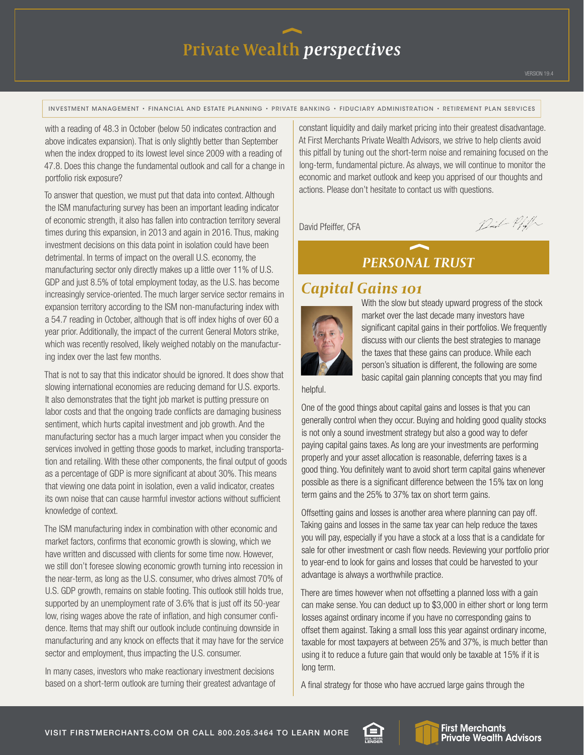INVESTMENT MANAGEMENT • FINANCIAL AND ESTATE PLANNING • PRIVATE BANKING • FIDUCIARY ADMINISTRATION • RETIREMENT PLAN SERVICES

with a reading of 48.3 in October (below 50 indicates contraction and above indicates expansion). That is only slightly better than September when the index dropped to its lowest level since 2009 with a reading of 47.8. Does this change the fundamental outlook and call for a change in portfolio risk exposure?

To answer that question, we must put that data into context. Although the ISM manufacturing survey has been an important leading indicator of economic strength, it also has fallen into contraction territory several times during this expansion, in 2013 and again in 2016. Thus, making investment decisions on this data point in isolation could have been detrimental. In terms of impact on the overall U.S. economy, the manufacturing sector only directly makes up a little over 11% of U.S. GDP and just 8.5% of total employment today, as the U.S. has become increasingly service-oriented. The much larger service sector remains in expansion territory according to the ISM non-manufacturing index with a 54.7 reading in October, although that is off index highs of over 60 a year prior. Additionally, the impact of the current General Motors strike, which was recently resolved, likely weighed notably on the manufacturing index over the last few months.

That is not to say that this indicator should be ignored. It does show that slowing international economies are reducing demand for U.S. exports. It also demonstrates that the tight job market is putting pressure on labor costs and that the ongoing trade conflicts are damaging business sentiment, which hurts capital investment and job growth. And the manufacturing sector has a much larger impact when you consider the services involved in getting those goods to market, including transportation and retailing. With these other components, the final output of goods as a percentage of GDP is more significant at about 30%. This means that viewing one data point in isolation, even a valid indicator, creates its own noise that can cause harmful investor actions without sufficient knowledge of context.

The ISM manufacturing index in combination with other economic and market factors, confirms that economic growth is slowing, which we have written and discussed with clients for some time now. However, we still don't foresee slowing economic growth turning into recession in the near-term, as long as the U.S. consumer, who drives almost 70% of U.S. GDP growth, remains on stable footing. This outlook still holds true, supported by an unemployment rate of 3.6% that is just off its 50-year low, rising wages above the rate of inflation, and high consumer confidence. Items that may shift our outlook include continuing downside in manufacturing and any knock on effects that it may have for the service sector and employment, thus impacting the U.S. consumer.

In many cases, investors who make reactionary investment decisions based on a short-term outlook are turning their greatest advantage of constant liquidity and daily market pricing into their greatest disadvantage. At First Merchants Private Wealth Advisors, we strive to help clients avoid this pitfall by tuning out the short-term noise and remaining focused on the long-term, fundamental picture. As always, we will continue to monitor the economic and market outlook and keep you apprised of our thoughts and actions. Please don't hesitate to contact us with questions.

David Pfeiffer, CFA

 $Dir$ 

#### *PERSONAL TRUST*

#### *Capital Gains 101*



With the slow but steady upward progress of the stock market over the last decade many investors have significant capital gains in their portfolios. We frequently discuss with our clients the best strategies to manage the taxes that these gains can produce. While each person's situation is different, the following are some basic capital gain planning concepts that you may find

helpful.

One of the good things about capital gains and losses is that you can generally control when they occur. Buying and holding good quality stocks is not only a sound investment strategy but also a good way to defer paying capital gains taxes. As long are your investments are performing properly and your asset allocation is reasonable, deferring taxes is a good thing. You definitely want to avoid short term capital gains whenever possible as there is a significant difference between the 15% tax on long term gains and the 25% to 37% tax on short term gains.

Offsetting gains and losses is another area where planning can pay off. Taking gains and losses in the same tax year can help reduce the taxes you will pay, especially if you have a stock at a loss that is a candidate for sale for other investment or cash flow needs. Reviewing your portfolio prior to year-end to look for gains and losses that could be harvested to your advantage is always a worthwhile practice.

There are times however when not offsetting a planned loss with a gain can make sense. You can deduct up to \$3,000 in either short or long term losses against ordinary income if you have no corresponding gains to offset them against. Taking a small loss this year against ordinary income, taxable for most taxpayers at between 25% and 37%, is much better than using it to reduce a future gain that would only be taxable at 15% if it is long term.

A final strategy for those who have accrued large gains through the

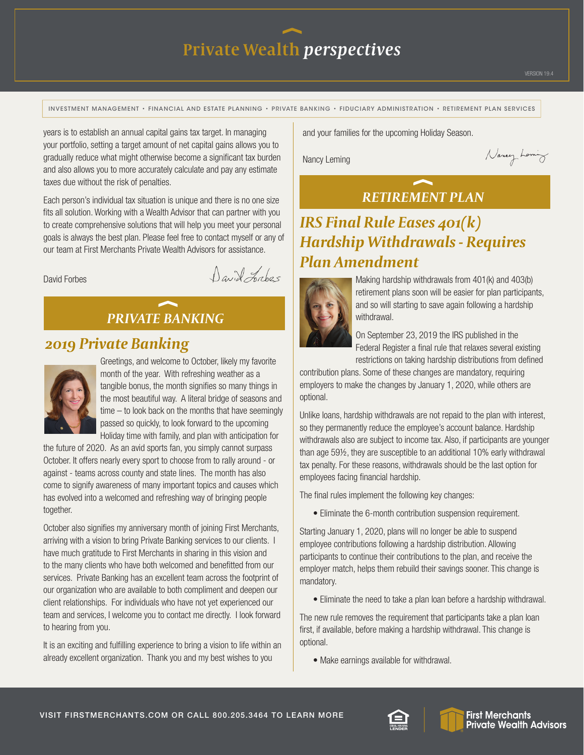INVESTMENT MANAGEMENT • FINANCIAL AND ESTATE PLANNING • PRIVATE BANKING • FIDUCIARY ADMINISTRATION • RETIREMENT PLAN SERVICES

years is to establish an annual capital gains tax target. In managing your portfolio, setting a target amount of net capital gains allows you to gradually reduce what might otherwise become a significant tax burden and also allows you to more accurately calculate and pay any estimate taxes due without the risk of penalties.

Each person's individual tax situation is unique and there is no one size fits all solution. Working with a Wealth Advisor that can partner with you to create comprehensive solutions that will help you meet your personal goals is always the best plan. Please feel free to contact myself or any of our team at First Merchants Private Wealth Advisors for assistance.

#### David Forbes

David Labos

#### *PRIVATE BANKING*

### *2019 Private Banking*



Greetings, and welcome to October, likely my favorite month of the year. With refreshing weather as a tangible bonus, the month signifies so many things in the most beautiful way. A literal bridge of seasons and time – to look back on the months that have seemingly passed so quickly, to look forward to the upcoming Holiday time with family, and plan with anticipation for

the future of 2020. As an avid sports fan, you simply cannot surpass October. It offers nearly every sport to choose from to rally around - or against - teams across county and state lines. The month has also come to signify awareness of many important topics and causes which has evolved into a welcomed and refreshing way of bringing people together.

October also signifies my anniversary month of joining First Merchants, arriving with a vision to bring Private Banking services to our clients. I have much gratitude to First Merchants in sharing in this vision and to the many clients who have both welcomed and benefitted from our services. Private Banking has an excellent team across the footprint of our organization who are available to both compliment and deepen our client relationships. For individuals who have not yet experienced our team and services, I welcome you to contact me directly. I look forward to hearing from you.

It is an exciting and fulfilling experience to bring a vision to life within an already excellent organization. Thank you and my best wishes to you

and your families for the upcoming Holiday Season.

Nancy Leming

Nancy Loming

### *RETIREMENT PLAN*

### *IRS Final Rule Eases 401(k) Hardship Withdrawals - Requires Plan Amendment*



Making hardship withdrawals from 401(k) and 403(b) retirement plans soon will be easier for plan participants, and so will starting to save again following a hardship withdrawal.

On September 23, 2019 the IRS published in the Federal Register a final rule that relaxes several existing restrictions on taking hardship distributions from defined

contribution plans. Some of these changes are mandatory, requiring employers to make the changes by January 1, 2020, while others are optional.

Unlike loans, hardship withdrawals are not repaid to the plan with interest, so they permanently reduce the employee's account balance. Hardship withdrawals also are subject to income tax. Also, if participants are younger than age 59½, they are susceptible to an additional 10% early withdrawal tax penalty. For these reasons, withdrawals should be the last option for employees facing financial hardship.

The final rules implement the following key changes:

• Eliminate the 6-month contribution suspension requirement.

Starting January 1, 2020, plans will no longer be able to suspend employee contributions following a hardship distribution. Allowing participants to continue their contributions to the plan, and receive the employer match, helps them rebuild their savings sooner. This change is mandatory.

• Eliminate the need to take a plan loan before a hardship withdrawal.

The new rule removes the requirement that participants take a plan loan first, if available, before making a hardship withdrawal. This change is optional.

• Make earnings available for withdrawal.